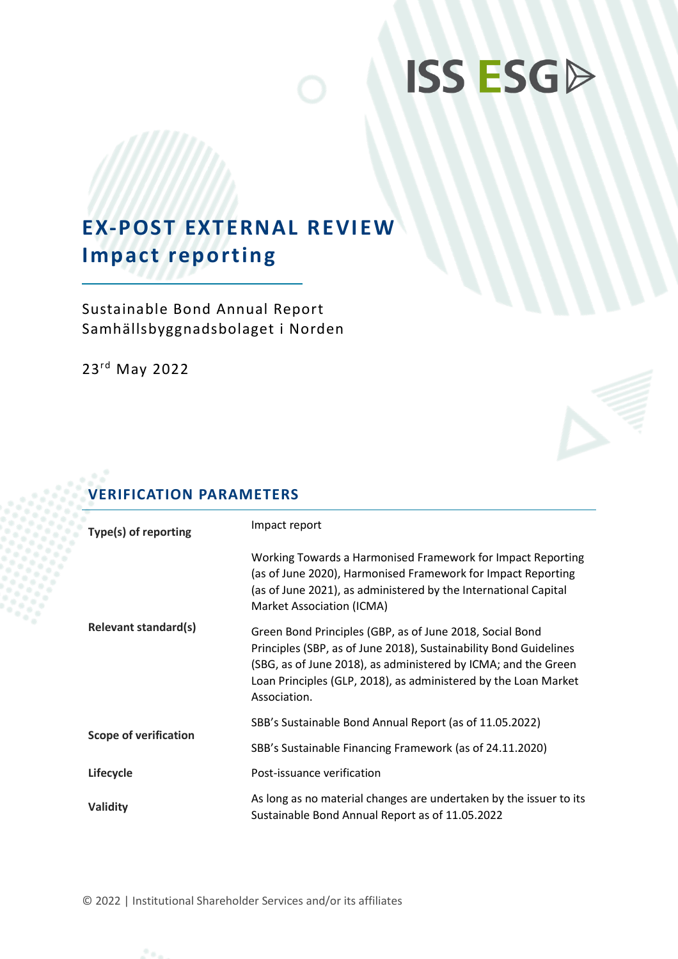# **ISS ESGP**

## **EX-POST EXTERNAL REVIEW Impact reporting**

Sustainable Bond Annual Report Samhällsbyggnadsbolaget i Norden

23 rd May 2022

## **VERIFICATION PARAMETERS**

| Type(s) of reporting         | Impact report                                                                                                                                                                                                                                                                      |
|------------------------------|------------------------------------------------------------------------------------------------------------------------------------------------------------------------------------------------------------------------------------------------------------------------------------|
|                              | Working Towards a Harmonised Framework for Impact Reporting<br>(as of June 2020), Harmonised Framework for Impact Reporting<br>(as of June 2021), as administered by the International Capital<br>Market Association (ICMA)                                                        |
| <b>Relevant standard(s)</b>  | Green Bond Principles (GBP, as of June 2018, Social Bond<br>Principles (SBP, as of June 2018), Sustainability Bond Guidelines<br>(SBG, as of June 2018), as administered by ICMA; and the Green<br>Loan Principles (GLP, 2018), as administered by the Loan Market<br>Association. |
|                              | SBB's Sustainable Bond Annual Report (as of 11.05.2022)                                                                                                                                                                                                                            |
| <b>Scope of verification</b> | SBB's Sustainable Financing Framework (as of 24.11.2020)                                                                                                                                                                                                                           |
| Lifecycle                    | Post-issuance verification                                                                                                                                                                                                                                                         |
| Validity                     | As long as no material changes are undertaken by the issuer to its<br>Sustainable Bond Annual Report as of 11.05.2022                                                                                                                                                              |

© 2022 | Institutional Shareholder Services and/or its affiliates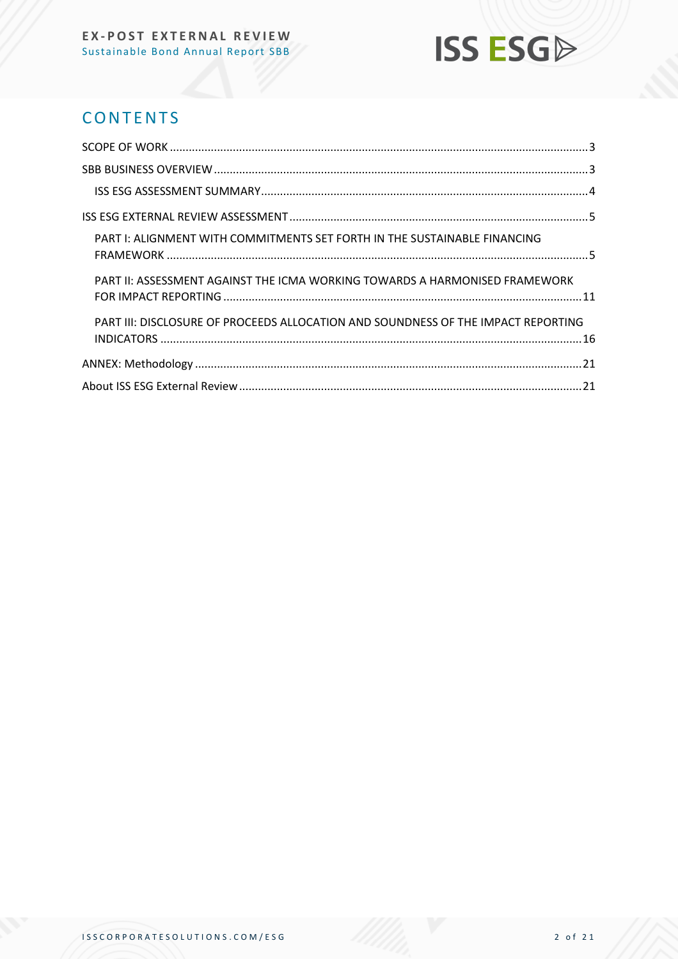## **ISS ESG**

## **CONTENTS**

| PART I: ALIGNMENT WITH COMMITMENTS SET FORTH IN THE SUSTAINABLE FINANCING         |  |
|-----------------------------------------------------------------------------------|--|
| PART II: ASSESSMENT AGAINST THE ICMA WORKING TOWARDS A HARMONISED FRAMEWORK       |  |
| PART III: DISCLOSURE OF PROCEEDS ALLOCATION AND SOUNDNESS OF THE IMPACT REPORTING |  |
|                                                                                   |  |
|                                                                                   |  |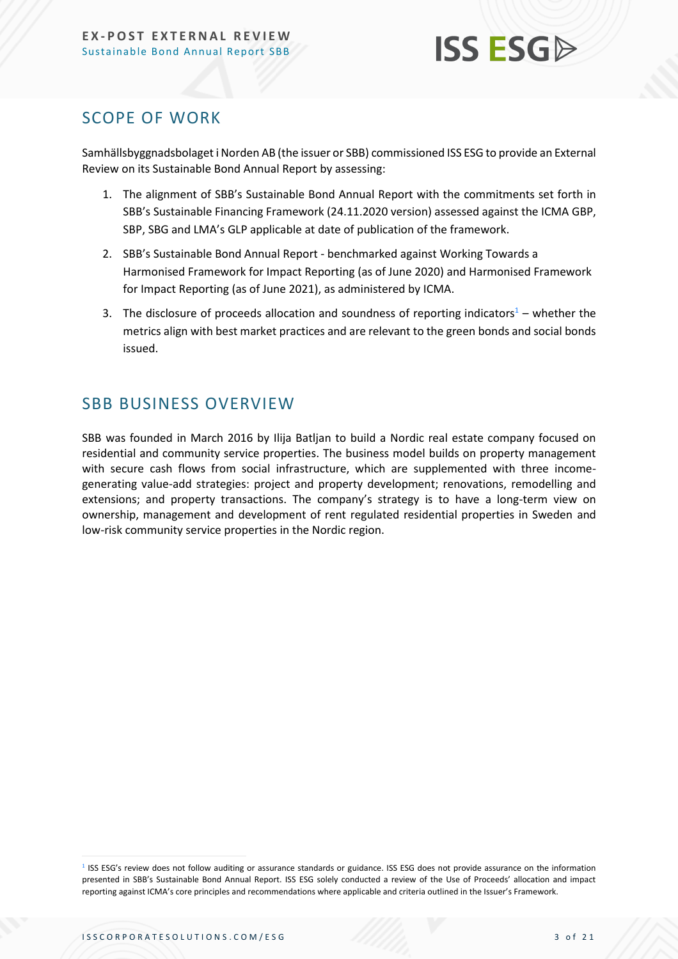### <span id="page-2-0"></span>SCOPE OF WORK

Samhällsbyggnadsbolaget i Norden AB (the issuer or SBB) commissioned ISS ESG to provide an External Review on its Sustainable Bond Annual Report by assessing:

- 1. The alignment of SBB's Sustainable Bond Annual Report with the commitments set forth in SBB's Sustainable Financing Framework (24.11.2020 version) assessed against the ICMA GBP, SBP, SBG and LMA's GLP applicable at date of publication of the framework.
- 2. SBB's Sustainable Bond Annual Report benchmarked against Working Towards a Harmonised Framework for Impact Reporting (as of June 2020) and Harmonised Framework for Impact Reporting (as of June 2021), as administered by ICMA.
- 3. The disclosure of proceeds allocation and soundness of reporting indicators<sup>1</sup> whether the metrics align with best market practices and are relevant to the green bonds and social bonds issued.

## <span id="page-2-1"></span>SBB BUSINESS OVERVIEW

SBB was founded in March 2016 by Ilija Batljan to build a Nordic real estate company focused on residential and community service properties. The business model builds on property management with secure cash flows from social infrastructure, which are supplemented with three incomegenerating value-add strategies: project and property development; renovations, remodelling and extensions; and property transactions. The company's strategy is to have a long-term view on ownership, management and development of rent regulated residential properties in Sweden and low-risk community service properties in the Nordic region.

<sup>&</sup>lt;sup>1</sup> ISS ESG's review does not follow auditing or assurance standards or guidance. ISS ESG does not provide assurance on the information presented in SBB's Sustainable Bond Annual Report. ISS ESG solely conducted a review of the Use of Proceeds' allocation and impact reporting against ICMA's core principles and recommendations where applicable and criteria outlined in the Issuer's Framework.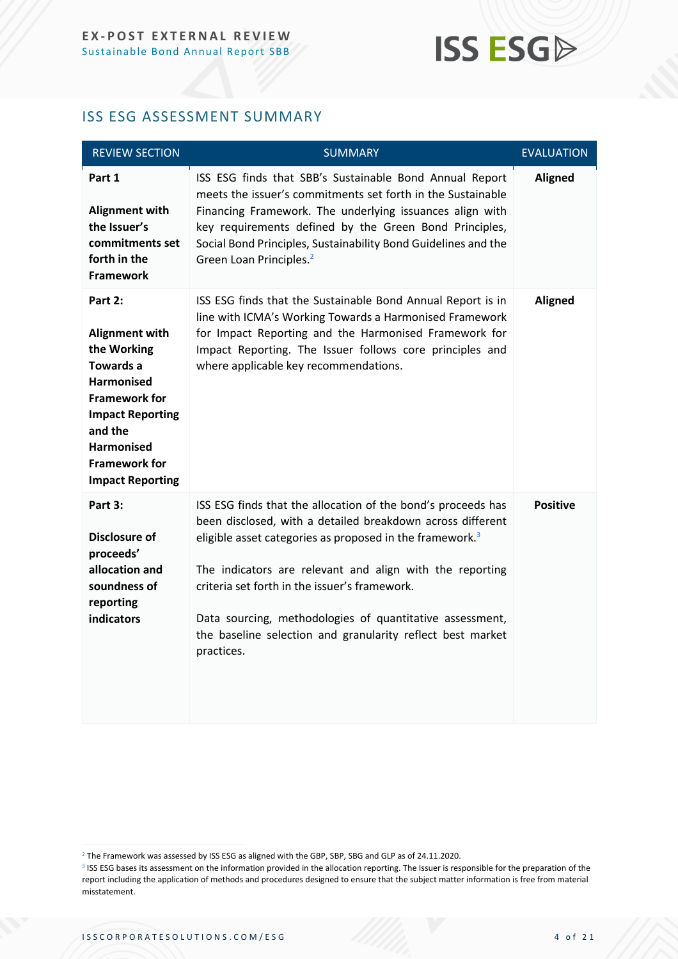## **ISS ESGA**

#### <span id="page-3-0"></span>ISS ESG ASSESSMENT SUMMARY

| <b>REVIEW SECTION</b>                                                                                                                                                                                                   | <b>SUMMARY</b>                                                                                                                                                                                                                                                                                                                                                                                                                                          | <b>EVALUATION</b> |
|-------------------------------------------------------------------------------------------------------------------------------------------------------------------------------------------------------------------------|---------------------------------------------------------------------------------------------------------------------------------------------------------------------------------------------------------------------------------------------------------------------------------------------------------------------------------------------------------------------------------------------------------------------------------------------------------|-------------------|
| Part 1<br><b>Alignment with</b><br>the Issuer's<br>commitments set<br>forth in the<br><b>Framework</b>                                                                                                                  | ISS ESG finds that SBB's Sustainable Bond Annual Report<br>meets the issuer's commitments set forth in the Sustainable<br>Financing Framework. The underlying issuances align with<br>key requirements defined by the Green Bond Principles,<br>Social Bond Principles, Sustainability Bond Guidelines and the<br>Green Loan Principles. <sup>2</sup>                                                                                                   | <b>Aligned</b>    |
| Part 2:<br>Alignment with<br>the Working<br><b>Towards a</b><br><b>Harmonised</b><br><b>Framework for</b><br><b>Impact Reporting</b><br>and the<br><b>Harmonised</b><br><b>Framework for</b><br><b>Impact Reporting</b> | ISS ESG finds that the Sustainable Bond Annual Report is in<br>line with ICMA's Working Towards a Harmonised Framework<br>for Impact Reporting and the Harmonised Framework for<br>Impact Reporting. The Issuer follows core principles and<br>where applicable key recommendations.                                                                                                                                                                    | <b>Aligned</b>    |
| Part 3:<br><b>Disclosure of</b><br>proceeds'<br>allocation and<br>soundness of<br>reporting<br>indicators                                                                                                               | ISS ESG finds that the allocation of the bond's proceeds has<br>been disclosed, with a detailed breakdown across different<br>eligible asset categories as proposed in the framework. <sup>3</sup><br>The indicators are relevant and align with the reporting<br>criteria set forth in the issuer's framework.<br>Data sourcing, methodologies of quantitative assessment,<br>the baseline selection and granularity reflect best market<br>practices. | <b>Positive</b>   |

<sup>&</sup>lt;sup>2</sup> The Framework was assessed by ISS ESG as aligned with the GBP, SBP, SBG and GLP as of 24.11.2020.

<sup>&</sup>lt;sup>3</sup> ISS ESG bases its assessment on the information provided in the allocation reporting. The Issuer is responsible for the preparation of the report including the application of methods and procedures designed to ensure that the subject matter information is free from material misstatement.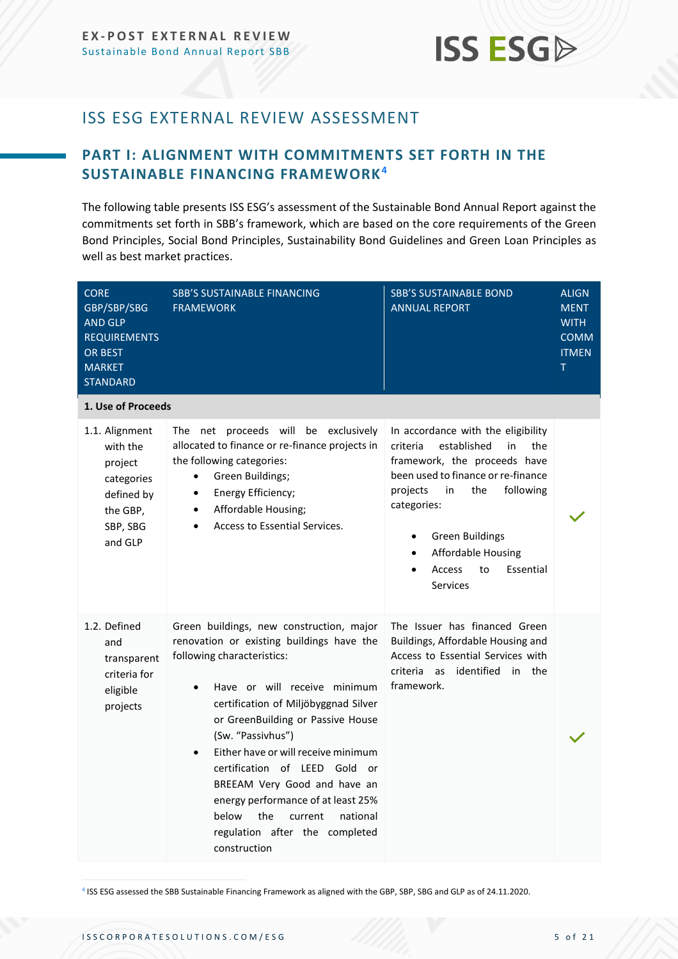## <span id="page-4-0"></span>ISS ESG EXTERNAL REVIEW ASSESSMENT

### <span id="page-4-1"></span>**PART I: ALIGNMENT WITH COMMITMENTS SET FORTH IN THE SUSTAINABLE FINANCING FRAMEWORK<sup>4</sup>**

The following table presents ISS ESG's assessment of the Sustainable Bond Annual Report against the commitments set forth in SBB's framework, which are based on the core requirements of the Green Bond Principles, Social Bond Principles, Sustainability Bond Guidelines and Green Loan Principles as well as best market practices.

| <b>CORE</b><br>GBP/SBP/SBG<br><b>AND GLP</b><br><b>REQUIREMENTS</b><br><b>OR BEST</b><br><b>MARKET</b><br><b>STANDARD</b> | <b>SBB'S SUSTAINABLE FINANCING</b><br><b>FRAMEWORK</b>                                                                                                                                                                                                                                                                                                                                                                                                                                                    | <b>SBB'S SUSTAINABLE BOND</b><br><b>ANNUAL REPORT</b>                                                                                                                                                                                                                                                               | <b>ALIGN</b><br><b>MENT</b><br><b>WITH</b><br><b>COMM</b><br><b>ITMEN</b><br>T. |
|---------------------------------------------------------------------------------------------------------------------------|-----------------------------------------------------------------------------------------------------------------------------------------------------------------------------------------------------------------------------------------------------------------------------------------------------------------------------------------------------------------------------------------------------------------------------------------------------------------------------------------------------------|---------------------------------------------------------------------------------------------------------------------------------------------------------------------------------------------------------------------------------------------------------------------------------------------------------------------|---------------------------------------------------------------------------------|
| 1. Use of Proceeds                                                                                                        |                                                                                                                                                                                                                                                                                                                                                                                                                                                                                                           |                                                                                                                                                                                                                                                                                                                     |                                                                                 |
| 1.1. Alignment<br>with the<br>project<br>categories<br>defined by<br>the GBP,<br>SBP, SBG<br>and GLP                      | The net proceeds will be exclusively<br>allocated to finance or re-finance projects in<br>the following categories:<br>Green Buildings;<br>Energy Efficiency;<br>$\bullet$<br>Affordable Housing;<br>٠<br>Access to Essential Services.<br>$\bullet$                                                                                                                                                                                                                                                      | In accordance with the eligibility<br>criteria<br>established<br>in<br>the<br>framework, the proceeds have<br>been used to finance or re-finance<br>following<br>projects<br>in<br>the<br>categories:<br><b>Green Buildings</b><br><b>Affordable Housing</b><br>to<br>Essential<br><b>Access</b><br><b>Services</b> |                                                                                 |
| 1.2. Defined<br>and<br>transparent<br>criteria for<br>eligible<br>projects                                                | Green buildings, new construction, major<br>renovation or existing buildings have the<br>following characteristics:<br>Have or will receive minimum<br>certification of Miljöbyggnad Silver<br>or GreenBuilding or Passive House<br>(Sw. "Passivhus")<br>Either have or will receive minimum<br>$\bullet$<br>certification of LEED Gold or<br>BREEAM Very Good and have an<br>energy performance of at least 25%<br>the<br>below<br>current<br>national<br>regulation after the completed<br>construction | The Issuer has financed Green<br>Buildings, Affordable Housing and<br>Access to Essential Services with<br>criteria as<br>identified in the<br>framework.                                                                                                                                                           |                                                                                 |

4 ISS ESG assessed the SBB Sustainable Financing Framework as aligned with the GBP, SBP, SBG and GLP as of 24.11.2020.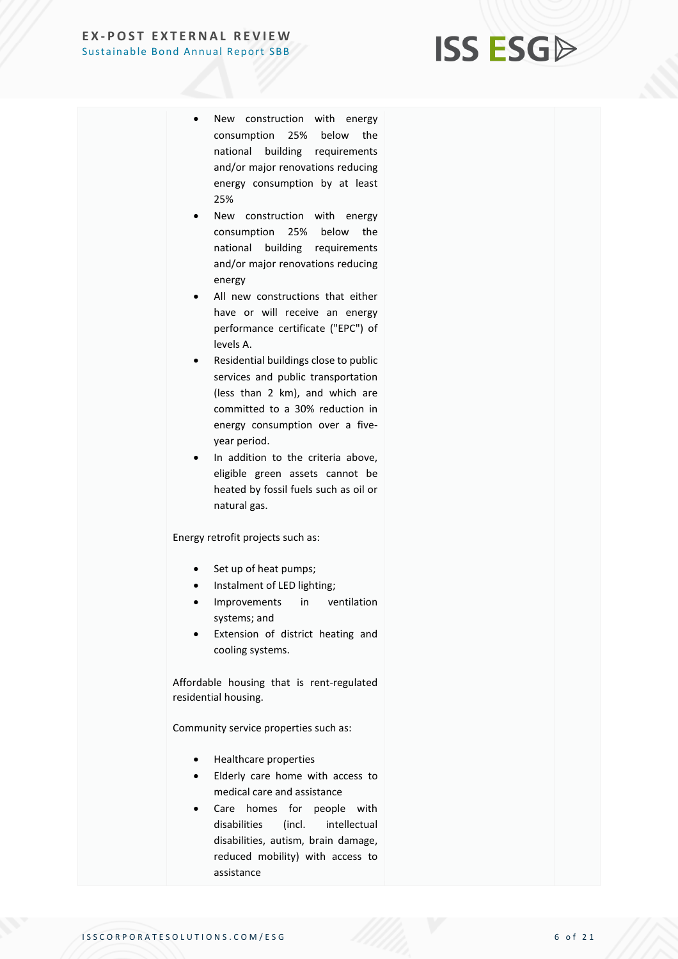## **ISS ESG**

- New construction with energy consumption 25% below the national building requirements and/or major renovations reducing energy consumption by at least 25%
- New construction with energy consumption 25% below the national building requirements and/or major renovations reducing energy
- All new constructions that either have or will receive an energy performance certificate ("EPC") of levels A.
- Residential buildings close to public services and public transportation (less than 2 km), and which are committed to a 30% reduction in energy consumption over a fiveyear period.
- In addition to the criteria above, eligible green assets cannot be heated by fossil fuels such as oil or natural gas.

Energy retrofit projects such as:

- Set up of heat pumps;
- Instalment of LED lighting;
- Improvements in ventilation systems; and
- Extension of district heating and cooling systems.

Affordable housing that is rent-regulated residential housing.

Community service properties such as:

- Healthcare properties
- Elderly care home with access to medical care and assistance
- Care homes for people with disabilities (incl. intellectual disabilities, autism, brain damage, reduced mobility) with access to assistance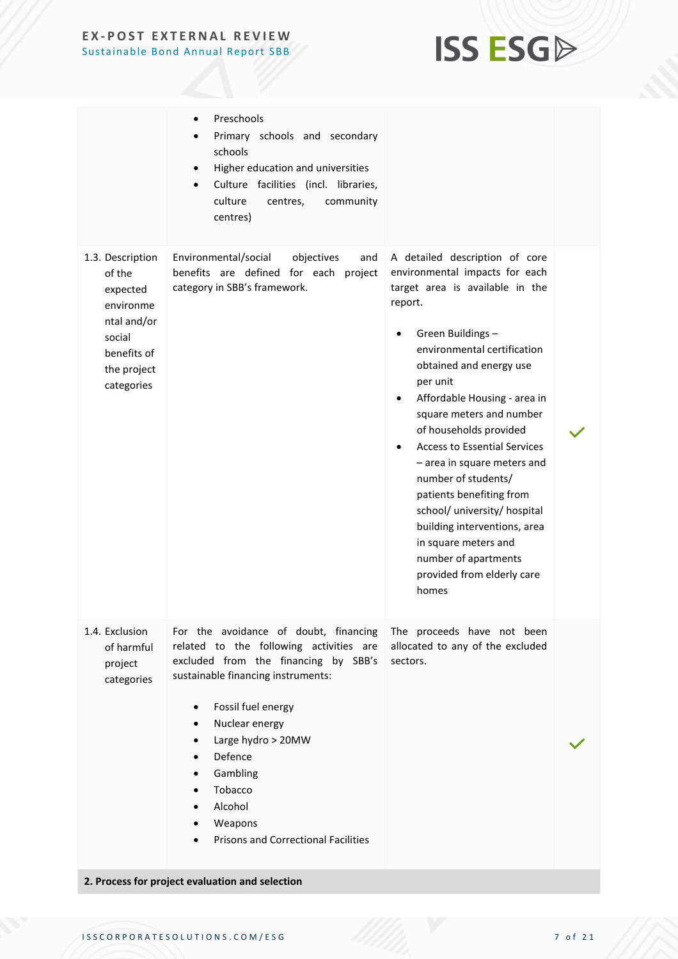## **ISS ESG**

|                                                                                                                          | Preschools<br>Primary schools and secondary<br>schools<br>Higher education and universities<br>Culture facilities (incl. libraries,<br>culture<br>centres,<br>community<br>centres)                                                                                                                                                                                                                |                                                                                                                                                                                                                                                                                                                                                                                                                                                                                                                                                                                                                        |  |
|--------------------------------------------------------------------------------------------------------------------------|----------------------------------------------------------------------------------------------------------------------------------------------------------------------------------------------------------------------------------------------------------------------------------------------------------------------------------------------------------------------------------------------------|------------------------------------------------------------------------------------------------------------------------------------------------------------------------------------------------------------------------------------------------------------------------------------------------------------------------------------------------------------------------------------------------------------------------------------------------------------------------------------------------------------------------------------------------------------------------------------------------------------------------|--|
| 1.3. Description<br>of the<br>expected<br>environme<br>ntal and/or<br>social<br>benefits of<br>the project<br>categories | Environmental/social<br>objectives<br>and<br>benefits are defined for each project<br>category in SBB's framework.                                                                                                                                                                                                                                                                                 | A detailed description of core<br>environmental impacts for each<br>target area is available in the<br>report.<br>Green Buildings -<br>$\bullet$<br>environmental certification<br>obtained and energy use<br>per unit<br>Affordable Housing - area in<br>$\bullet$<br>square meters and number<br>of households provided<br><b>Access to Essential Services</b><br>$\bullet$<br>- area in square meters and<br>number of students/<br>patients benefiting from<br>school/ university/ hospital<br>building interventions, area<br>in square meters and<br>number of apartments<br>provided from elderly care<br>homes |  |
| 1.4. Exclusion<br>of harmful<br>project<br>categories                                                                    | For the avoidance of doubt, financing<br>related to the following activities are<br>excluded from the financing by SBB's<br>sustainable financing instruments:<br>Fossil fuel energy<br>$\bullet$<br>Nuclear energy<br>Large hydro > 20MW<br>Defence<br>Gambling<br>Tobacco<br>Alcohol<br>Weapons<br><b>Prisons and Correctional Facilities</b><br>2. Process for project evaluation and selection | The proceeds have not been<br>allocated to any of the excluded<br>sectors.                                                                                                                                                                                                                                                                                                                                                                                                                                                                                                                                             |  |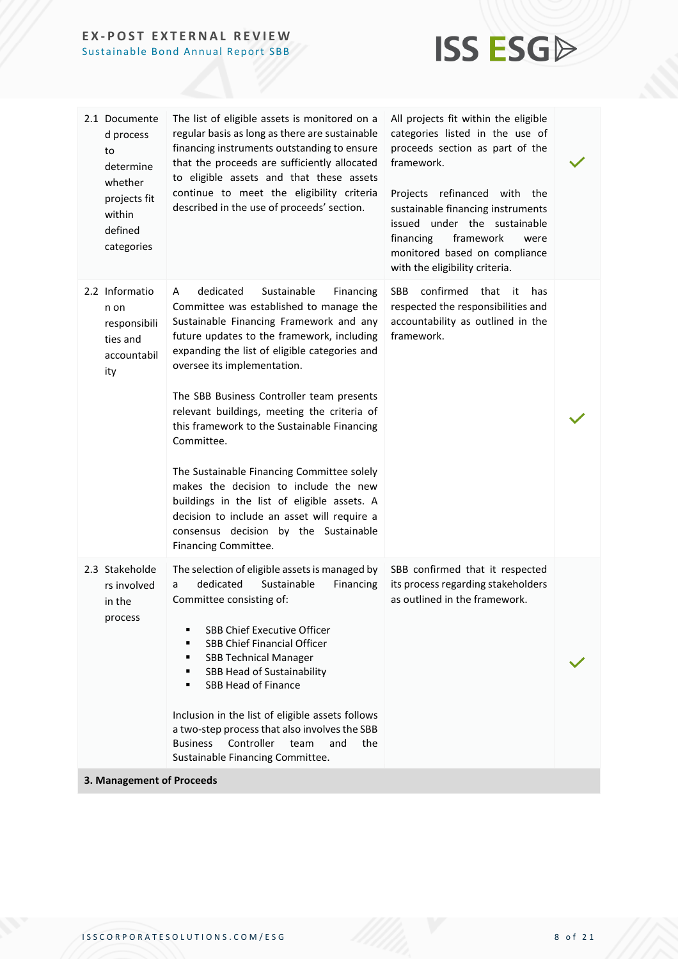

| 2.1 Documente<br>d process<br>to<br>determine<br>whether<br>projects fit<br>within<br>defined<br>categories | The list of eligible assets is monitored on a<br>regular basis as long as there are sustainable<br>financing instruments outstanding to ensure<br>that the proceeds are sufficiently allocated<br>to eligible assets and that these assets<br>continue to meet the eligibility criteria<br>described in the use of proceeds' section.                                                                                                                                                                                                                                                                                                                                         | All projects fit within the eligible<br>categories listed in the use of<br>proceeds section as part of the<br>framework.<br>Projects refinanced with the<br>sustainable financing instruments<br>issued under the sustainable<br>framework<br>financing<br>were<br>monitored based on compliance<br>with the eligibility criteria. |  |
|-------------------------------------------------------------------------------------------------------------|-------------------------------------------------------------------------------------------------------------------------------------------------------------------------------------------------------------------------------------------------------------------------------------------------------------------------------------------------------------------------------------------------------------------------------------------------------------------------------------------------------------------------------------------------------------------------------------------------------------------------------------------------------------------------------|------------------------------------------------------------------------------------------------------------------------------------------------------------------------------------------------------------------------------------------------------------------------------------------------------------------------------------|--|
| 2.2 Informatio<br>n on<br>responsibili<br>ties and<br>accountabil<br>ity                                    | dedicated<br>Sustainable<br>Financing<br>A<br>Committee was established to manage the<br>Sustainable Financing Framework and any<br>future updates to the framework, including<br>expanding the list of eligible categories and<br>oversee its implementation.<br>The SBB Business Controller team presents<br>relevant buildings, meeting the criteria of<br>this framework to the Sustainable Financing<br>Committee.<br>The Sustainable Financing Committee solely<br>makes the decision to include the new<br>buildings in the list of eligible assets. A<br>decision to include an asset will require a<br>consensus decision by the Sustainable<br>Financing Committee. | confirmed<br><b>SBB</b><br>that<br>has<br>- it<br>respected the responsibilities and<br>accountability as outlined in the<br>framework.                                                                                                                                                                                            |  |
| 2.3 Stakeholde<br>rs involved<br>in the<br>process                                                          | The selection of eligible assets is managed by<br>dedicated<br>Sustainable<br>Financing<br>a<br>Committee consisting of:<br><b>SBB Chief Executive Officer</b><br>٠<br>SBB Chief Financial Officer<br>٠<br><b>SBB Technical Manager</b><br>٠<br>SBB Head of Sustainability<br>٠<br><b>SBB Head of Finance</b><br>▪<br>Inclusion in the list of eligible assets follows<br>a two-step process that also involves the SBB<br>Controller<br><b>Business</b><br>and<br>the<br>team<br>Sustainable Financing Committee.                                                                                                                                                            | SBB confirmed that it respected<br>its process regarding stakeholders<br>as outlined in the framework.                                                                                                                                                                                                                             |  |

**3. Management of Proceeds**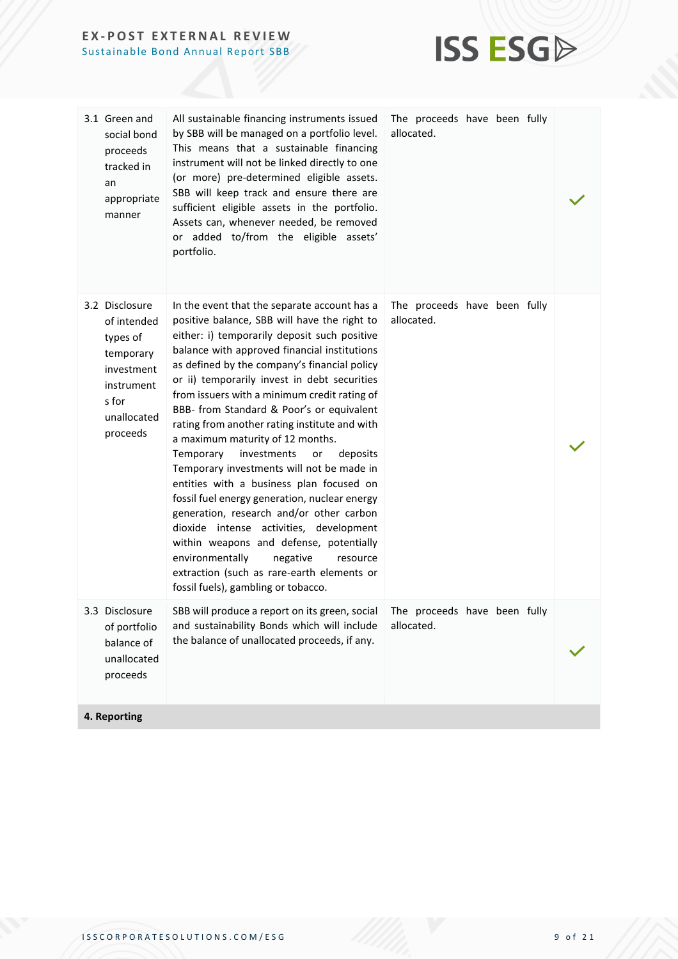

| 3.1 Green and<br>social bond<br>proceeds<br>tracked in<br>an<br>appropriate<br>manner                                  | All sustainable financing instruments issued<br>by SBB will be managed on a portfolio level.<br>This means that a sustainable financing<br>instrument will not be linked directly to one<br>(or more) pre-determined eligible assets.<br>SBB will keep track and ensure there are<br>sufficient eligible assets in the portfolio.<br>Assets can, whenever needed, be removed<br>or added to/from the eligible assets'<br>portfolio.                                                                                                                                                                                                                                                                                                                                                                                                                                                                                                      | The proceeds have been fully<br>allocated. |  |
|------------------------------------------------------------------------------------------------------------------------|------------------------------------------------------------------------------------------------------------------------------------------------------------------------------------------------------------------------------------------------------------------------------------------------------------------------------------------------------------------------------------------------------------------------------------------------------------------------------------------------------------------------------------------------------------------------------------------------------------------------------------------------------------------------------------------------------------------------------------------------------------------------------------------------------------------------------------------------------------------------------------------------------------------------------------------|--------------------------------------------|--|
| 3.2 Disclosure<br>of intended<br>types of<br>temporary<br>investment<br>instrument<br>s for<br>unallocated<br>proceeds | In the event that the separate account has a<br>positive balance, SBB will have the right to<br>either: i) temporarily deposit such positive<br>balance with approved financial institutions<br>as defined by the company's financial policy<br>or ii) temporarily invest in debt securities<br>from issuers with a minimum credit rating of<br>BBB- from Standard & Poor's or equivalent<br>rating from another rating institute and with<br>a maximum maturity of 12 months.<br>investments<br>Temporary<br>or<br>deposits<br>Temporary investments will not be made in<br>entities with a business plan focused on<br>fossil fuel energy generation, nuclear energy<br>generation, research and/or other carbon<br>dioxide intense activities, development<br>within weapons and defense, potentially<br>environmentally<br>negative<br>resource<br>extraction (such as rare-earth elements or<br>fossil fuels), gambling or tobacco. | The proceeds have been fully<br>allocated. |  |
| 3.3 Disclosure<br>of portfolio<br>balance of<br>unallocated<br>proceeds                                                | SBB will produce a report on its green, social<br>and sustainability Bonds which will include<br>the balance of unallocated proceeds, if any.                                                                                                                                                                                                                                                                                                                                                                                                                                                                                                                                                                                                                                                                                                                                                                                            | The proceeds have been fully<br>allocated. |  |
| 4. Reporting                                                                                                           |                                                                                                                                                                                                                                                                                                                                                                                                                                                                                                                                                                                                                                                                                                                                                                                                                                                                                                                                          |                                            |  |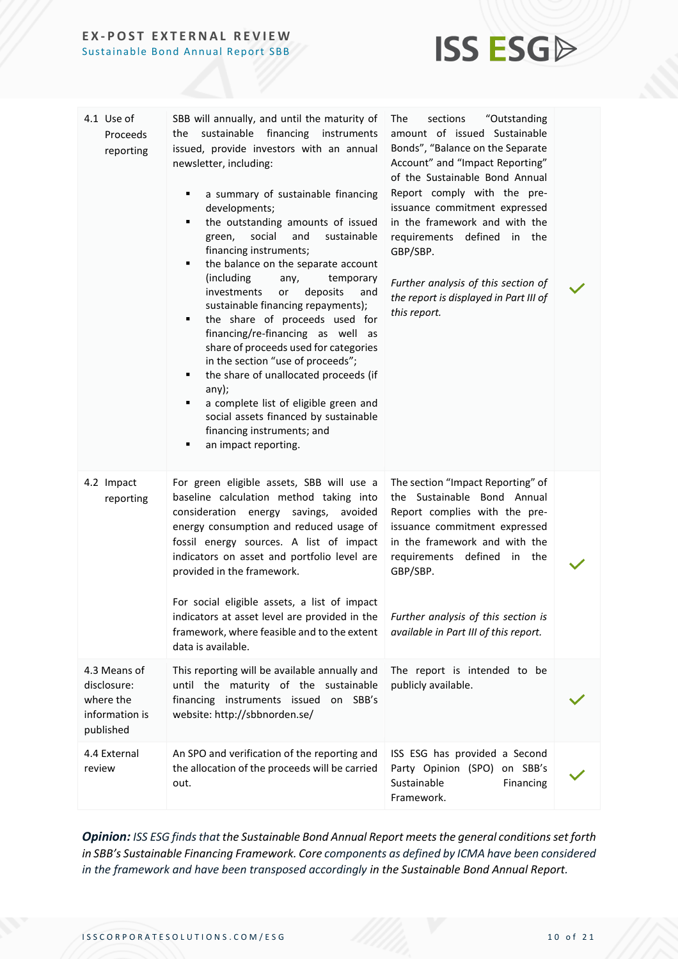

| 4.1 Use of<br>Proceeds<br>reporting                                     | SBB will annually, and until the maturity of<br>financing<br>sustainable<br>instruments<br>the<br>issued, provide investors with an annual<br>newsletter, including:<br>a summary of sustainable financing<br>٠<br>developments;<br>the outstanding amounts of issued<br>٠<br>social<br>green,<br>and<br>sustainable<br>financing instruments;<br>the balance on the separate account<br>٠<br>(including)<br>any,<br>temporary<br>investments<br>deposits<br>and<br>or<br>sustainable financing repayments);<br>the share of proceeds used for<br>٠<br>financing/re-financing as well as<br>share of proceeds used for categories<br>in the section "use of proceeds";<br>the share of unallocated proceeds (if<br>٠<br>any);<br>a complete list of eligible green and<br>٠<br>social assets financed by sustainable<br>financing instruments; and<br>an impact reporting.<br>٠ | The<br>sections<br>"Outstanding<br>amount of issued Sustainable<br>Bonds", "Balance on the Separate<br>Account" and "Impact Reporting"<br>of the Sustainable Bond Annual<br>Report comply with the pre-<br>issuance commitment expressed<br>in the framework and with the<br>requirements defined in the<br>GBP/SBP.<br>Further analysis of this section of<br>the report is displayed in Part III of<br>this report. |  |
|-------------------------------------------------------------------------|---------------------------------------------------------------------------------------------------------------------------------------------------------------------------------------------------------------------------------------------------------------------------------------------------------------------------------------------------------------------------------------------------------------------------------------------------------------------------------------------------------------------------------------------------------------------------------------------------------------------------------------------------------------------------------------------------------------------------------------------------------------------------------------------------------------------------------------------------------------------------------|-----------------------------------------------------------------------------------------------------------------------------------------------------------------------------------------------------------------------------------------------------------------------------------------------------------------------------------------------------------------------------------------------------------------------|--|
| 4.2 Impact<br>reporting                                                 | For green eligible assets, SBB will use a<br>baseline calculation method taking into<br>consideration energy savings, avoided<br>energy consumption and reduced usage of<br>fossil energy sources. A list of impact<br>indicators on asset and portfolio level are<br>provided in the framework.<br>For social eligible assets, a list of impact<br>indicators at asset level are provided in the<br>framework, where feasible and to the extent<br>data is available.                                                                                                                                                                                                                                                                                                                                                                                                          | The section "Impact Reporting" of<br>the Sustainable Bond Annual<br>Report complies with the pre-<br>issuance commitment expressed<br>in the framework and with the<br>requirements<br>defined<br>the<br>in<br>GBP/SBP.<br>Further analysis of this section is<br>available in Part III of this report.                                                                                                               |  |
| 4.3 Means of<br>disclosure:<br>where the<br>information is<br>published | This reporting will be available annually and<br>until the maturity of the sustainable<br>financing instruments issued on SBB's<br>website: http://sbbnorden.se/                                                                                                                                                                                                                                                                                                                                                                                                                                                                                                                                                                                                                                                                                                                | The report is intended to be<br>publicly available.                                                                                                                                                                                                                                                                                                                                                                   |  |
| 4.4 External<br>review                                                  | An SPO and verification of the reporting and<br>the allocation of the proceeds will be carried<br>out.                                                                                                                                                                                                                                                                                                                                                                                                                                                                                                                                                                                                                                                                                                                                                                          | ISS ESG has provided a Second<br>Party Opinion (SPO) on SBB's<br>Sustainable<br>Financing<br>Framework.                                                                                                                                                                                                                                                                                                               |  |

**Opinion:** ISS ESG finds that the Sustainable Bond Annual Report meets the general conditions set forth *in SBB's Sustainable Financing Framework. Core components as defined by ICMA have been considered in the framework and have been transposed accordingly in the Sustainable Bond Annual Report.*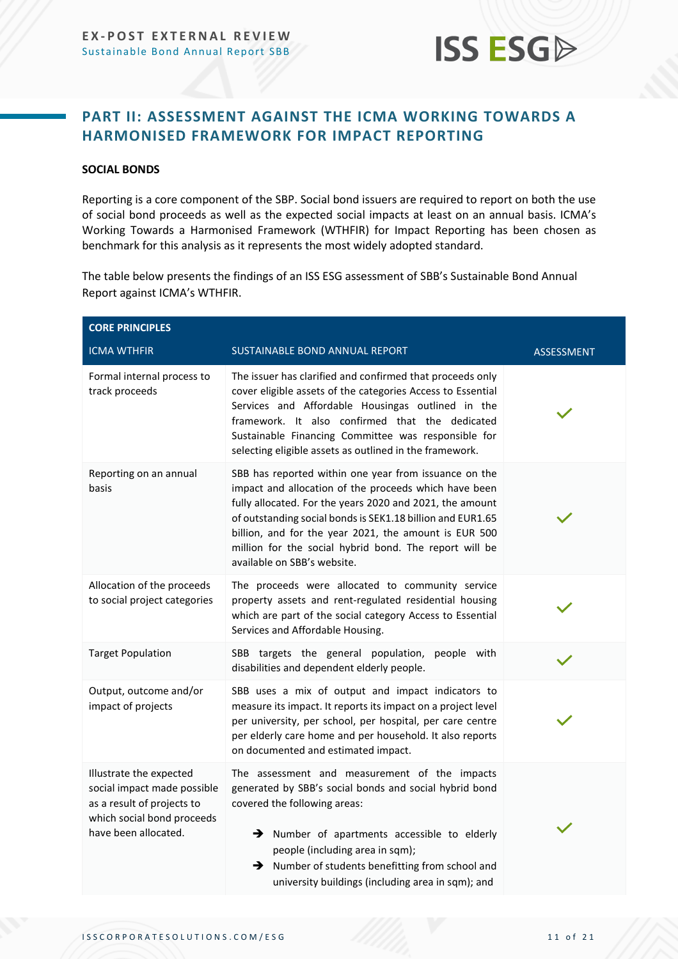

### <span id="page-10-0"></span>**PART II: ASSESSMENT AGAINST THE ICMA WORKING TOWARDS A HARMONISED FRAMEWORK FOR IMPACT REPORTING**

#### **SOCIAL BONDS**

Reporting is a core component of the SBP. Social bond issuers are required to report on both the use of social bond proceeds as well as the expected social impacts at least on an annual basis. ICMA's Working Towards a Harmonised Framework (WTHFIR) for Impact Reporting has been chosen as benchmark for this analysis as it represents the most widely adopted standard.

The table below presents the findings of an ISS ESG assessment of SBB's Sustainable Bond Annual Report against ICMA's WTHFIR.

| <b>CORE PRINCIPLES</b>                                                                                                                     |                                                                                                                                                                                                                                                                                                                                                                                            |                   |  |
|--------------------------------------------------------------------------------------------------------------------------------------------|--------------------------------------------------------------------------------------------------------------------------------------------------------------------------------------------------------------------------------------------------------------------------------------------------------------------------------------------------------------------------------------------|-------------------|--|
| <b>ICMA WTHFIR</b>                                                                                                                         | <b>SUSTAINABLE BOND ANNUAL REPORT</b>                                                                                                                                                                                                                                                                                                                                                      | <b>ASSESSMENT</b> |  |
| Formal internal process to<br>track proceeds                                                                                               | The issuer has clarified and confirmed that proceeds only<br>cover eligible assets of the categories Access to Essential<br>Services and Affordable Housingas outlined in the<br>framework. It also confirmed that the dedicated<br>Sustainable Financing Committee was responsible for<br>selecting eligible assets as outlined in the framework.                                         |                   |  |
| Reporting on an annual<br>basis                                                                                                            | SBB has reported within one year from issuance on the<br>impact and allocation of the proceeds which have been<br>fully allocated. For the years 2020 and 2021, the amount<br>of outstanding social bonds is SEK1.18 billion and EUR1.65<br>billion, and for the year 2021, the amount is EUR 500<br>million for the social hybrid bond. The report will be<br>available on SBB's website. |                   |  |
| Allocation of the proceeds<br>to social project categories                                                                                 | The proceeds were allocated to community service<br>property assets and rent-regulated residential housing<br>which are part of the social category Access to Essential<br>Services and Affordable Housing.                                                                                                                                                                                |                   |  |
| <b>Target Population</b>                                                                                                                   | SBB targets the general population, people with<br>disabilities and dependent elderly people.                                                                                                                                                                                                                                                                                              |                   |  |
| Output, outcome and/or<br>impact of projects                                                                                               | SBB uses a mix of output and impact indicators to<br>measure its impact. It reports its impact on a project level<br>per university, per school, per hospital, per care centre<br>per elderly care home and per household. It also reports<br>on documented and estimated impact.                                                                                                          |                   |  |
| Illustrate the expected<br>social impact made possible<br>as a result of projects to<br>which social bond proceeds<br>have been allocated. | The assessment and measurement of the impacts<br>generated by SBB's social bonds and social hybrid bond<br>covered the following areas:<br>> Number of apartments accessible to elderly<br>people (including area in sqm);<br>> Number of students benefitting from school and<br>university buildings (including area in sqm); and                                                        |                   |  |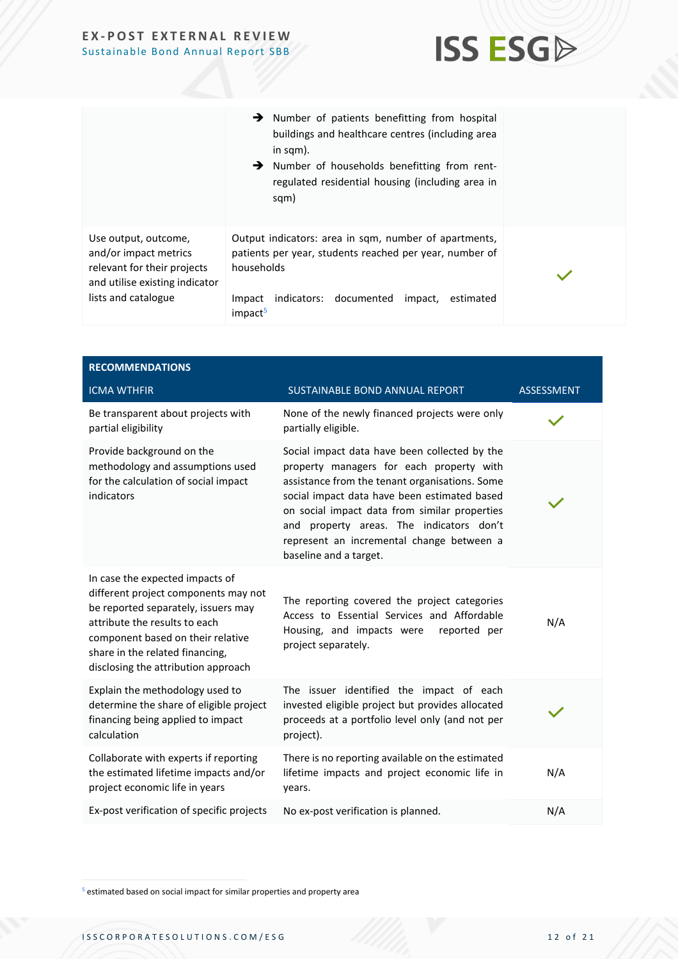

|                                                                                                                                       | $\rightarrow$ Number of patients benefitting from hospital<br>buildings and healthcare centres (including area<br>in sqm).<br>Number of households benefitting from rent-<br>regulated residential housing (including area in<br>sqm) |  |
|---------------------------------------------------------------------------------------------------------------------------------------|---------------------------------------------------------------------------------------------------------------------------------------------------------------------------------------------------------------------------------------|--|
| Use output, outcome,<br>and/or impact metrics<br>relevant for their projects<br>and utilise existing indicator<br>lists and catalogue | Output indicators: area in sqm, number of apartments,<br>patients per year, students reached per year, number of<br>households<br>indicators: documented<br>Impact<br>impact,<br>estimated<br>impact <sup>5</sup>                     |  |

| <b>RECOMMENDATIONS</b>                                                                                                                                                                                                                                         |                                                                                                                                                                                                                                                                                                                                                                 |                   |
|----------------------------------------------------------------------------------------------------------------------------------------------------------------------------------------------------------------------------------------------------------------|-----------------------------------------------------------------------------------------------------------------------------------------------------------------------------------------------------------------------------------------------------------------------------------------------------------------------------------------------------------------|-------------------|
| <b>ICMA WTHFIR</b>                                                                                                                                                                                                                                             | <b>SUSTAINABLE BOND ANNUAL REPORT</b>                                                                                                                                                                                                                                                                                                                           | <b>ASSESSMENT</b> |
| Be transparent about projects with<br>partial eligibility                                                                                                                                                                                                      | None of the newly financed projects were only<br>partially eligible.                                                                                                                                                                                                                                                                                            |                   |
| Provide background on the<br>methodology and assumptions used<br>for the calculation of social impact<br>indicators                                                                                                                                            | Social impact data have been collected by the<br>property managers for each property with<br>assistance from the tenant organisations. Some<br>social impact data have been estimated based<br>on social impact data from similar properties<br>and property areas. The indicators don't<br>represent an incremental change between a<br>baseline and a target. |                   |
| In case the expected impacts of<br>different project components may not<br>be reported separately, issuers may<br>attribute the results to each<br>component based on their relative<br>share in the related financing,<br>disclosing the attribution approach | The reporting covered the project categories<br>Access to Essential Services and Affordable<br>Housing, and impacts were<br>reported per<br>project separately.                                                                                                                                                                                                 | N/A               |
| Explain the methodology used to<br>determine the share of eligible project<br>financing being applied to impact<br>calculation                                                                                                                                 | The issuer identified the impact of each<br>invested eligible project but provides allocated<br>proceeds at a portfolio level only (and not per<br>project).                                                                                                                                                                                                    |                   |
| Collaborate with experts if reporting<br>the estimated lifetime impacts and/or<br>project economic life in years                                                                                                                                               | There is no reporting available on the estimated<br>lifetime impacts and project economic life in<br>years.                                                                                                                                                                                                                                                     | N/A               |
| Ex-post verification of specific projects                                                                                                                                                                                                                      | No ex-post verification is planned.                                                                                                                                                                                                                                                                                                                             | N/A               |

<sup>5</sup> estimated based on social impact for similar properties and property area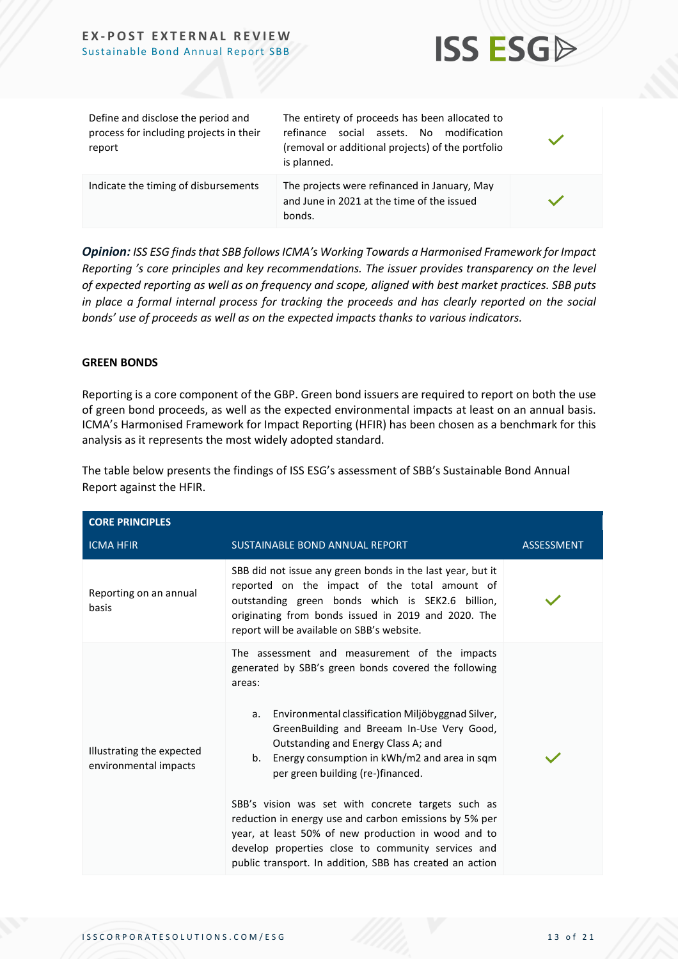

| Define and disclose the period and<br>process for including projects in their<br>report | The entirety of proceeds has been allocated to<br>social assets. No modification<br>refinance<br>(removal or additional projects) of the portfolio<br>is planned. |  |
|-----------------------------------------------------------------------------------------|-------------------------------------------------------------------------------------------------------------------------------------------------------------------|--|
| Indicate the timing of disbursements                                                    | The projects were refinanced in January, May<br>and June in 2021 at the time of the issued<br>bonds.                                                              |  |

*Opinion: ISS ESG finds that SBB followsICMA's Working Towards a Harmonised Framework for Impact Reporting 's core principles and key recommendations. The issuer provides transparency on the level of expected reporting as well as on frequency and scope, aligned with best market practices. SBB puts in place a formal internal process for tracking the proceeds and has clearly reported on the social bonds' use of proceeds as well as on the expected impacts thanks to various indicators.* 

#### **GREEN BONDS**

Reporting is a core component of the GBP. Green bond issuers are required to report on both the use of green bond proceeds, as well as the expected environmental impacts at least on an annual basis. ICMA's Harmonised Framework for Impact Reporting (HFIR) has been chosen as a benchmark for this analysis as it represents the most widely adopted standard.

The table below presents the findings of ISS ESG's assessment of SBB's Sustainable Bond Annual Report against the HFIR.

| <b>CORE PRINCIPLES</b>                             |                                                                                                                                                                                                                                                                                                                                                                                                                                                                                                                                                                                                                                               |                   |
|----------------------------------------------------|-----------------------------------------------------------------------------------------------------------------------------------------------------------------------------------------------------------------------------------------------------------------------------------------------------------------------------------------------------------------------------------------------------------------------------------------------------------------------------------------------------------------------------------------------------------------------------------------------------------------------------------------------|-------------------|
| <b>ICMA HFIR</b>                                   | SUSTAINABLE BOND ANNUAL REPORT                                                                                                                                                                                                                                                                                                                                                                                                                                                                                                                                                                                                                | <b>ASSESSMENT</b> |
| Reporting on an annual<br>basis                    | SBB did not issue any green bonds in the last year, but it<br>reported on the impact of the total amount of<br>outstanding green bonds which is SEK2.6 billion,<br>originating from bonds issued in 2019 and 2020. The<br>report will be available on SBB's website.                                                                                                                                                                                                                                                                                                                                                                          |                   |
| Illustrating the expected<br>environmental impacts | The assessment and measurement of the impacts<br>generated by SBB's green bonds covered the following<br>areas:<br>a. Environmental classification Miljöbyggnad Silver,<br>GreenBuilding and Breeam In-Use Very Good,<br>Outstanding and Energy Class A; and<br>b. Energy consumption in kWh/m2 and area in sqm<br>per green building (re-)financed.<br>SBB's vision was set with concrete targets such as<br>reduction in energy use and carbon emissions by 5% per<br>year, at least 50% of new production in wood and to<br>develop properties close to community services and<br>public transport. In addition, SBB has created an action |                   |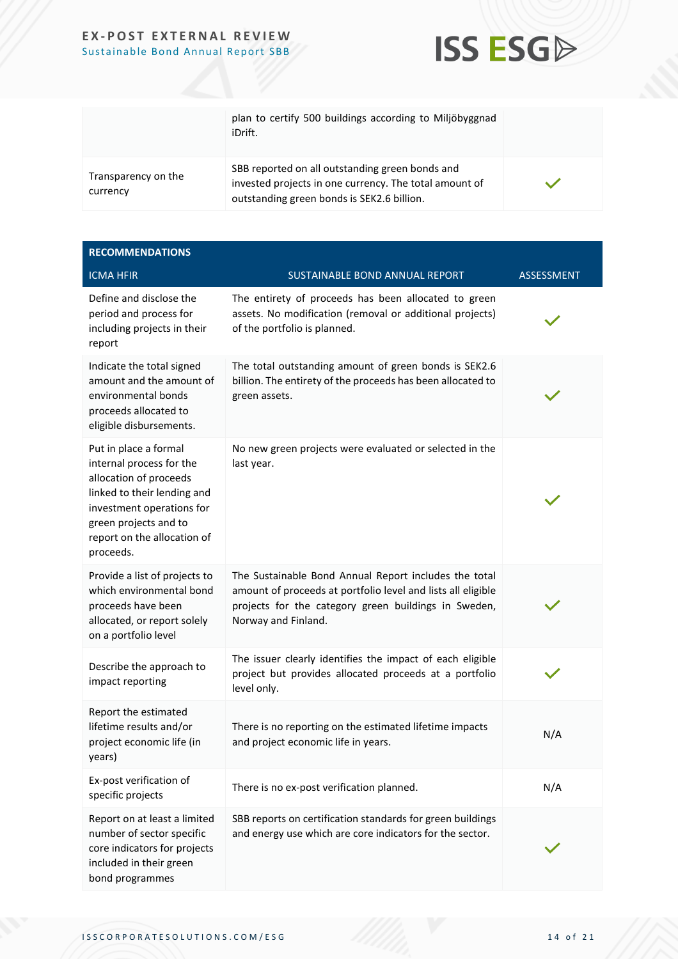

|                                 | plan to certify 500 buildings according to Miljöbyggnad<br>iDrift.                                                                                      |  |
|---------------------------------|---------------------------------------------------------------------------------------------------------------------------------------------------------|--|
| Transparency on the<br>currency | SBB reported on all outstanding green bonds and<br>invested projects in one currency. The total amount of<br>outstanding green bonds is SEK2.6 billion. |  |

| <b>RECOMMENDATIONS</b>                                                                                                                                                                                       |                                                                                                                                                                                                      |            |
|--------------------------------------------------------------------------------------------------------------------------------------------------------------------------------------------------------------|------------------------------------------------------------------------------------------------------------------------------------------------------------------------------------------------------|------------|
| <b>ICMA HFIR</b>                                                                                                                                                                                             | SUSTAINABLE BOND ANNUAL REPORT                                                                                                                                                                       | ASSESSMENT |
| Define and disclose the<br>period and process for<br>including projects in their<br>report                                                                                                                   | The entirety of proceeds has been allocated to green<br>assets. No modification (removal or additional projects)<br>of the portfolio is planned.                                                     |            |
| Indicate the total signed<br>amount and the amount of<br>environmental bonds<br>proceeds allocated to<br>eligible disbursements.                                                                             | The total outstanding amount of green bonds is SEK2.6<br>billion. The entirety of the proceeds has been allocated to<br>green assets.                                                                |            |
| Put in place a formal<br>internal process for the<br>allocation of proceeds<br>linked to their lending and<br>investment operations for<br>green projects and to<br>report on the allocation of<br>proceeds. | No new green projects were evaluated or selected in the<br>last year.                                                                                                                                |            |
| Provide a list of projects to<br>which environmental bond<br>proceeds have been<br>allocated, or report solely<br>on a portfolio level                                                                       | The Sustainable Bond Annual Report includes the total<br>amount of proceeds at portfolio level and lists all eligible<br>projects for the category green buildings in Sweden,<br>Norway and Finland. |            |
| Describe the approach to<br>impact reporting                                                                                                                                                                 | The issuer clearly identifies the impact of each eligible<br>project but provides allocated proceeds at a portfolio<br>level only.                                                                   |            |
| Report the estimated<br>lifetime results and/or<br>project economic life (in<br>years)                                                                                                                       | There is no reporting on the estimated lifetime impacts<br>and project economic life in years.                                                                                                       | N/A        |
| Ex-post verification of<br>specific projects                                                                                                                                                                 | There is no ex-post verification planned.                                                                                                                                                            | N/A        |
| Report on at least a limited<br>number of sector specific<br>core indicators for projects<br>included in their green<br>bond programmes                                                                      | SBB reports on certification standards for green buildings<br>and energy use which are core indicators for the sector.                                                                               |            |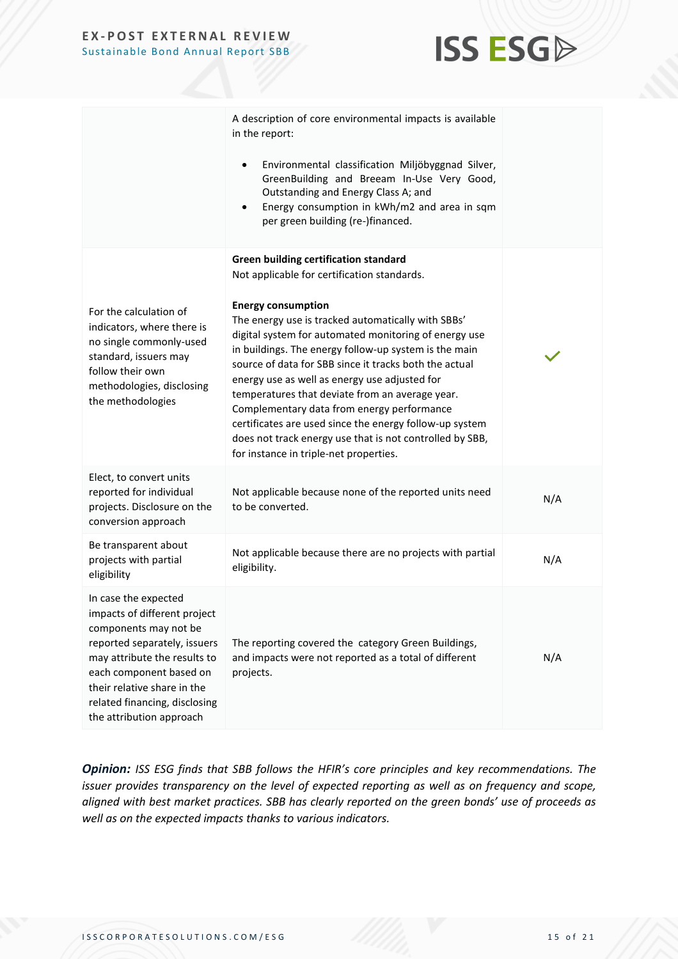

|                                                                                                                                                                                                                                                                      | A description of core environmental impacts is available<br>in the report:<br>Environmental classification Miljöbyggnad Silver,<br>$\bullet$<br>GreenBuilding and Breeam In-Use Very Good,<br>Outstanding and Energy Class A; and<br>Energy consumption in kWh/m2 and area in sqm<br>$\bullet$<br>per green building (re-)financed.                                                                                                                                                                                                                                                                                                                                           |     |
|----------------------------------------------------------------------------------------------------------------------------------------------------------------------------------------------------------------------------------------------------------------------|-------------------------------------------------------------------------------------------------------------------------------------------------------------------------------------------------------------------------------------------------------------------------------------------------------------------------------------------------------------------------------------------------------------------------------------------------------------------------------------------------------------------------------------------------------------------------------------------------------------------------------------------------------------------------------|-----|
| For the calculation of<br>indicators, where there is<br>no single commonly-used<br>standard, issuers may<br>follow their own<br>methodologies, disclosing<br>the methodologies                                                                                       | <b>Green building certification standard</b><br>Not applicable for certification standards.<br><b>Energy consumption</b><br>The energy use is tracked automatically with SBBs'<br>digital system for automated monitoring of energy use<br>in buildings. The energy follow-up system is the main<br>source of data for SBB since it tracks both the actual<br>energy use as well as energy use adjusted for<br>temperatures that deviate from an average year.<br>Complementary data from energy performance<br>certificates are used since the energy follow-up system<br>does not track energy use that is not controlled by SBB,<br>for instance in triple-net properties. |     |
| Elect, to convert units<br>reported for individual<br>projects. Disclosure on the<br>conversion approach                                                                                                                                                             | Not applicable because none of the reported units need<br>to be converted.                                                                                                                                                                                                                                                                                                                                                                                                                                                                                                                                                                                                    | N/A |
| Be transparent about<br>projects with partial<br>eligibility                                                                                                                                                                                                         | Not applicable because there are no projects with partial<br>eligibility.                                                                                                                                                                                                                                                                                                                                                                                                                                                                                                                                                                                                     | N/A |
| In case the expected<br>impacts of different project<br>components may not be<br>reported separately, issuers<br>may attribute the results to<br>each component based on<br>their relative share in the<br>related financing, disclosing<br>the attribution approach | The reporting covered the category Green Buildings,<br>and impacts were not reported as a total of different<br>projects.                                                                                                                                                                                                                                                                                                                                                                                                                                                                                                                                                     | N/A |

*Opinion: ISS ESG finds that SBB follows the HFIR's core principles and key recommendations. The issuer provides transparency on the level of expected reporting as well as on frequency and scope, aligned with best market practices. SBB has clearly reported on the green bonds' use of proceeds as well as on the expected impacts thanks to various indicators.*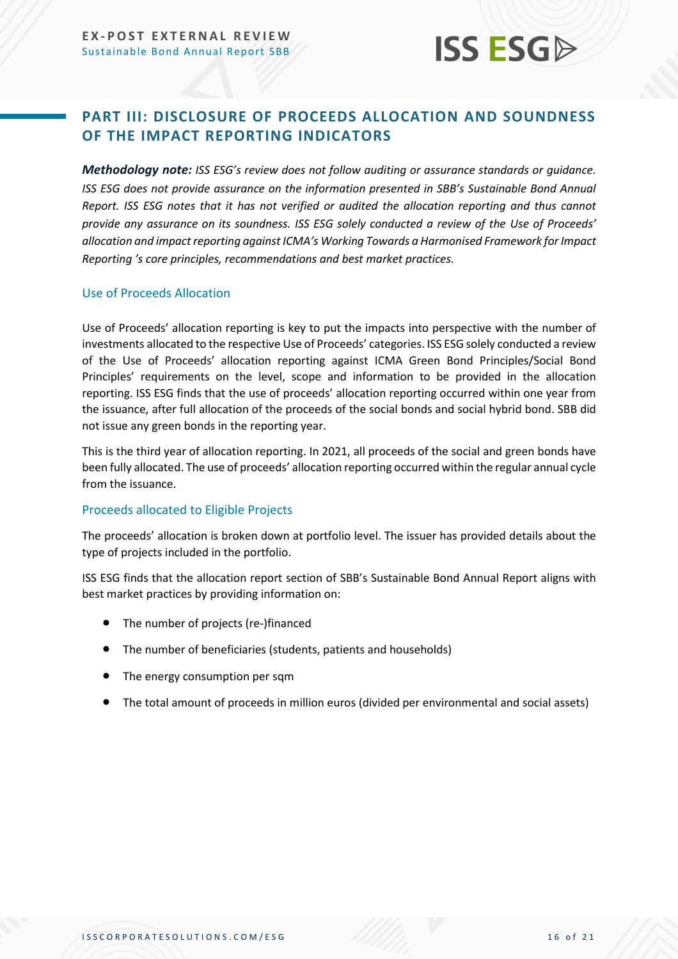### <span id="page-15-0"></span>**PART III: DISCLOSURE OF PROCEEDS ALLOCATION AND SOUNDNESS OF THE IMPACT REPORTING INDICATORS**

*Methodology note: ISS ESG's review does not follow auditing or assurance standards or guidance. ISS ESG does not provide assurance on the information presented in SBB's Sustainable Bond Annual Report. ISS ESG notes that it has not verified or audited the allocation reporting and thus cannot provide any assurance on its soundness. ISS ESG solely conducted a review of the Use of Proceeds' allocation and impact reporting against ICMA's Working Towards a Harmonised Framework for Impact Reporting 's core principles, recommendations and best market practices.*

#### Use of Proceeds Allocation

Use of Proceeds' allocation reporting is key to put the impacts into perspective with the number of investments allocated to the respective Use of Proceeds' categories. ISS ESG solely conducted a review of the Use of Proceeds' allocation reporting against ICMA Green Bond Principles/Social Bond Principles' requirements on the level, scope and information to be provided in the allocation reporting. ISS ESG finds that the use of proceeds' allocation reporting occurred within one year from the issuance, after full allocation of the proceeds of the social bonds and social hybrid bond. SBB did not issue any green bonds in the reporting year.

This is the third year of allocation reporting. In 2021, all proceeds of the social and green bonds have been fully allocated. The use of proceeds' allocation reporting occurred within the regular annual cycle from the issuance.

#### Proceeds allocated to Eligible Projects

The proceeds' allocation is broken down at portfolio level. The issuer has provided details about the type of projects included in the portfolio.

ISS ESG finds that the allocation report section of SBB's Sustainable Bond Annual Report aligns with best market practices by providing information on:

- The number of projects (re-)financed
- The number of beneficiaries (students, patients and households)
- The energy consumption per sqm
- The total amount of proceeds in million euros (divided per environmental and social assets)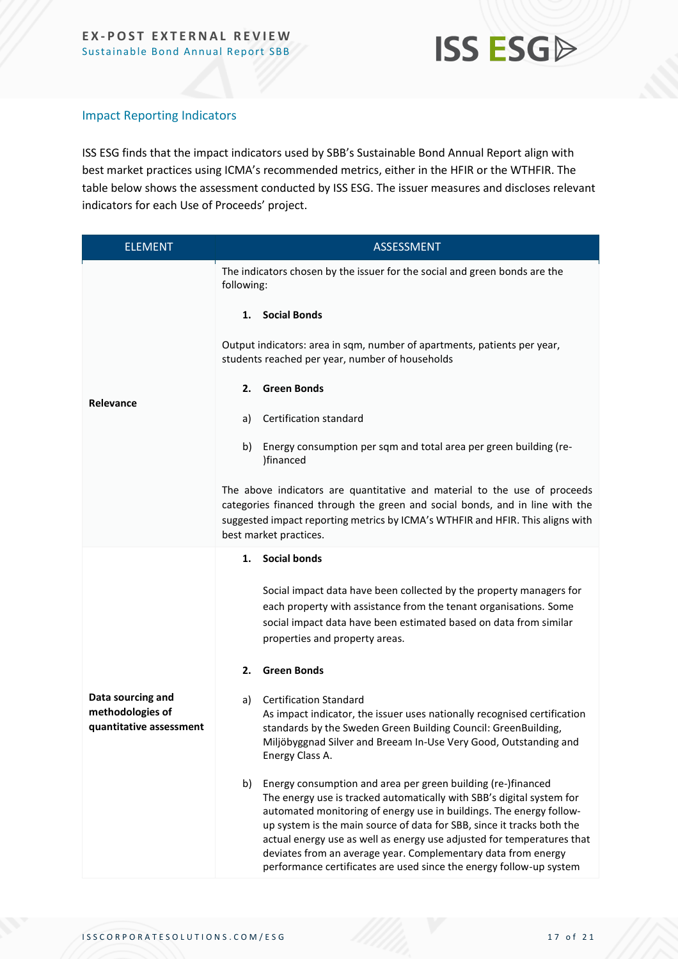

#### Impact Reporting Indicators

ISS ESG finds that the impact indicators used by SBB's Sustainable Bond Annual Report align with best market practices using ICMA's recommended metrics, either in the HFIR or the WTHFIR. The table below shows the assessment conducted by ISS ESG. The issuer measures and discloses relevant indicators for each Use of Proceeds' project.

| <b>ELEMENT</b>                                                   | ASSESSMENT                                                                                                                                                                                                                                                                                                                                                                                                                                                                                                     |
|------------------------------------------------------------------|----------------------------------------------------------------------------------------------------------------------------------------------------------------------------------------------------------------------------------------------------------------------------------------------------------------------------------------------------------------------------------------------------------------------------------------------------------------------------------------------------------------|
|                                                                  | The indicators chosen by the issuer for the social and green bonds are the<br>following:                                                                                                                                                                                                                                                                                                                                                                                                                       |
|                                                                  | <b>Social Bonds</b><br>1.                                                                                                                                                                                                                                                                                                                                                                                                                                                                                      |
|                                                                  | Output indicators: area in sqm, number of apartments, patients per year,<br>students reached per year, number of households                                                                                                                                                                                                                                                                                                                                                                                    |
| <b>Relevance</b>                                                 | <b>Green Bonds</b><br>2.                                                                                                                                                                                                                                                                                                                                                                                                                                                                                       |
|                                                                  | Certification standard<br>a)                                                                                                                                                                                                                                                                                                                                                                                                                                                                                   |
|                                                                  | Energy consumption per sqm and total area per green building (re-<br>b)<br>)financed                                                                                                                                                                                                                                                                                                                                                                                                                           |
|                                                                  | The above indicators are quantitative and material to the use of proceeds<br>categories financed through the green and social bonds, and in line with the<br>suggested impact reporting metrics by ICMA's WTHFIR and HFIR. This aligns with<br>best market practices.                                                                                                                                                                                                                                          |
|                                                                  | <b>Social bonds</b><br>1.                                                                                                                                                                                                                                                                                                                                                                                                                                                                                      |
|                                                                  | Social impact data have been collected by the property managers for<br>each property with assistance from the tenant organisations. Some<br>social impact data have been estimated based on data from similar<br>properties and property areas.                                                                                                                                                                                                                                                                |
|                                                                  | <b>Green Bonds</b><br>2.                                                                                                                                                                                                                                                                                                                                                                                                                                                                                       |
| Data sourcing and<br>methodologies of<br>quantitative assessment | <b>Certification Standard</b><br>a)<br>As impact indicator, the issuer uses nationally recognised certification<br>standards by the Sweden Green Building Council: GreenBuilding,<br>Miljöbyggnad Silver and Breeam In-Use Very Good, Outstanding and<br>Energy Class A.                                                                                                                                                                                                                                       |
|                                                                  | Energy consumption and area per green building (re-)financed<br>b)<br>The energy use is tracked automatically with SBB's digital system for<br>automated monitoring of energy use in buildings. The energy follow-<br>up system is the main source of data for SBB, since it tracks both the<br>actual energy use as well as energy use adjusted for temperatures that<br>deviates from an average year. Complementary data from energy<br>performance certificates are used since the energy follow-up system |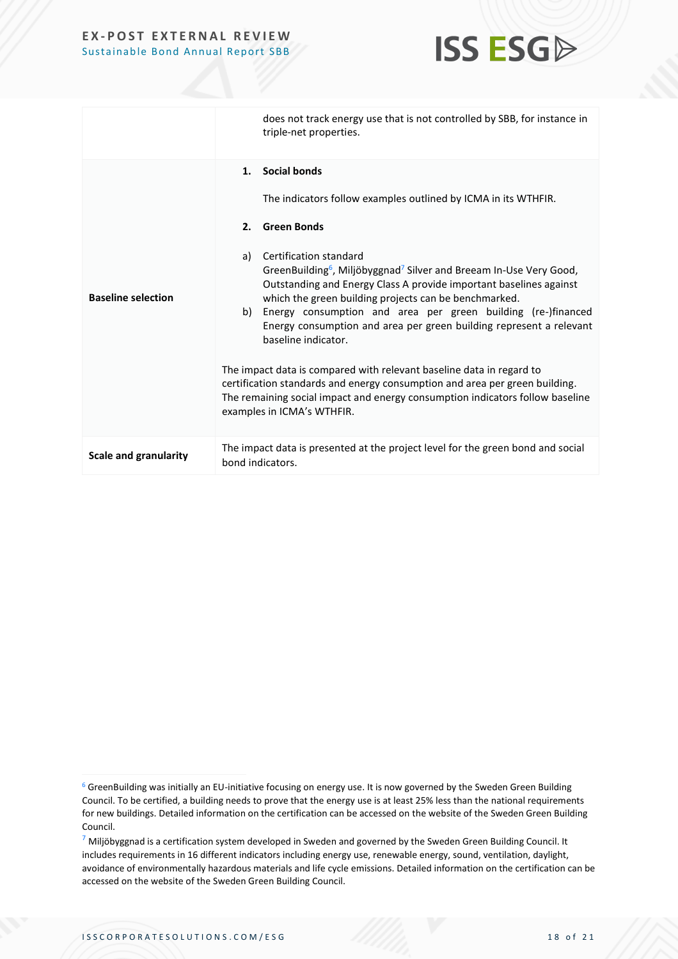

|                              | does not track energy use that is not controlled by SBB, for instance in<br>triple-net properties.                                                                                                                                                                                                                                                                                                                                                                                                                                                                                                                                                                                                                                                                                                         |
|------------------------------|------------------------------------------------------------------------------------------------------------------------------------------------------------------------------------------------------------------------------------------------------------------------------------------------------------------------------------------------------------------------------------------------------------------------------------------------------------------------------------------------------------------------------------------------------------------------------------------------------------------------------------------------------------------------------------------------------------------------------------------------------------------------------------------------------------|
| <b>Baseline selection</b>    | 1. Social bonds<br>The indicators follow examples outlined by ICMA in its WTHFIR.<br>2. Green Bonds<br>Certification standard<br>a)<br>GreenBuilding <sup>6</sup> , Miljöbyggnad <sup>7</sup> Silver and Breeam In-Use Very Good,<br>Outstanding and Energy Class A provide important baselines against<br>which the green building projects can be benchmarked.<br>Energy consumption and area per green building (re-)financed<br>b)<br>Energy consumption and area per green building represent a relevant<br>baseline indicator.<br>The impact data is compared with relevant baseline data in regard to<br>certification standards and energy consumption and area per green building.<br>The remaining social impact and energy consumption indicators follow baseline<br>examples in ICMA's WTHFIR. |
| <b>Scale and granularity</b> | The impact data is presented at the project level for the green bond and social<br>bond indicators.                                                                                                                                                                                                                                                                                                                                                                                                                                                                                                                                                                                                                                                                                                        |

 $6$  GreenBuilding was initially an EU-initiative focusing on energy use. It is now governed by the Sweden Green Building Council. To be certified, a building needs to prove that the energy use is at least 25% less than the national requirements for new buildings. Detailed information on the certification can be accessed on the website of the Sweden Green Building Council.

 $7$  Miljöbyggnad is a certification system developed in Sweden and governed by the Sweden Green Building Council. It includes requirements in 16 different indicators including energy use, renewable energy, sound, ventilation, daylight, avoidance of environmentally hazardous materials and life cycle emissions. Detailed information on the certification can be accessed on the website of the Sweden Green Building Council.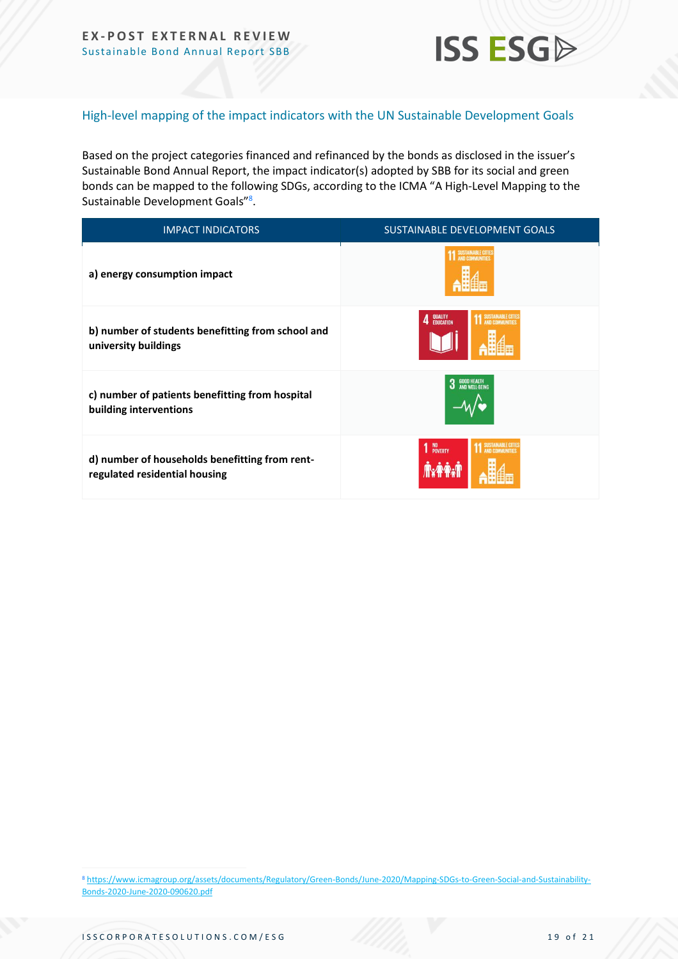

#### High-level mapping of the impact indicators with the UN Sustainable Development Goals

Based on the project categories financed and refinanced by the bonds as disclosed in the issuer's Sustainable Bond Annual Report, the impact indicator(s) adopted by SBB for its social and green bonds can be mapped to the following SDGs, according to the ICMA "A High-Level Mapping to the Sustainable Development Goals"<sup>8</sup>.

| <b>IMPACT INDICATORS</b>                                                        | <b>SUSTAINABLE DEVELOPMENT GOALS</b>       |
|---------------------------------------------------------------------------------|--------------------------------------------|
| a) energy consumption impact                                                    |                                            |
| b) number of students benefitting from school and<br>university buildings       | QUALITY<br>EDUCATION                       |
| c) number of patients benefitting from hospital<br>building interventions       | <b>GOOD HEALTH<br/>AND WELL-BEING</b><br>3 |
| d) number of households benefitting from rent-<br>regulated residential housing | 1 NO <sub>POVERTY</sub>                    |

<sup>8</sup> [https://www.icmagroup.org/assets/documents/Regulatory/Green-Bonds/June-2020/Mapping-SDGs-to-Green-Social-and-Sustainability-](https://www.icmagroup.org/assets/documents/Regulatory/Green-Bonds/June-2020/Mapping-SDGs-to-Green-Social-and-Sustainability-Bonds-2020-June-2020-090620.pdf)[Bonds-2020-June-2020-090620.pdf](https://www.icmagroup.org/assets/documents/Regulatory/Green-Bonds/June-2020/Mapping-SDGs-to-Green-Social-and-Sustainability-Bonds-2020-June-2020-090620.pdf)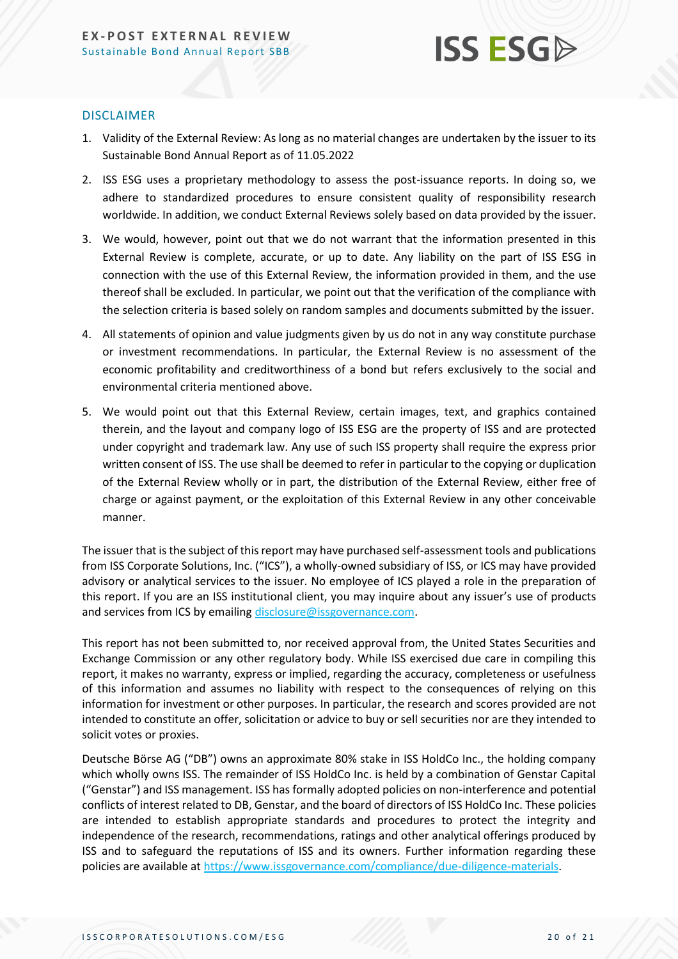## **ISS ESG**

#### DISCLAIMER

- 1. Validity of the External Review: As long as no material changes are undertaken by the issuer to its Sustainable Bond Annual Report as of 11.05.2022
- 2. ISS ESG uses a proprietary methodology to assess the post-issuance reports. In doing so, we adhere to standardized procedures to ensure consistent quality of responsibility research worldwide. In addition, we conduct External Reviews solely based on data provided by the issuer.
- 3. We would, however, point out that we do not warrant that the information presented in this External Review is complete, accurate, or up to date. Any liability on the part of ISS ESG in connection with the use of this External Review, the information provided in them, and the use thereof shall be excluded. In particular, we point out that the verification of the compliance with the selection criteria is based solely on random samples and documents submitted by the issuer.
- 4. All statements of opinion and value judgments given by us do not in any way constitute purchase or investment recommendations. In particular, the External Review is no assessment of the economic profitability and creditworthiness of a bond but refers exclusively to the social and environmental criteria mentioned above.
- 5. We would point out that this External Review, certain images, text, and graphics contained therein, and the layout and company logo of ISS ESG are the property of ISS and are protected under copyright and trademark law. Any use of such ISS property shall require the express prior written consent of ISS. The use shall be deemed to refer in particular to the copying or duplication of the External Review wholly or in part, the distribution of the External Review, either free of charge or against payment, or the exploitation of this External Review in any other conceivable manner.

The issuer that is the subject of this report may have purchased self-assessment tools and publications from ISS Corporate Solutions, Inc. ("ICS"), a wholly-owned subsidiary of ISS, or ICS may have provided advisory or analytical services to the issuer. No employee of ICS played a role in the preparation of this report. If you are an ISS institutional client, you may inquire about any issuer's use of products and services from ICS by emailin[g disclosure@issgovernance.com.](mailto:disclosure@issgovernance.com)

This report has not been submitted to, nor received approval from, the United States Securities and Exchange Commission or any other regulatory body. While ISS exercised due care in compiling this report, it makes no warranty, express or implied, regarding the accuracy, completeness or usefulness of this information and assumes no liability with respect to the consequences of relying on this information for investment or other purposes. In particular, the research and scores provided are not intended to constitute an offer, solicitation or advice to buy or sell securities nor are they intended to solicit votes or proxies.

Deutsche Börse AG ("DB") owns an approximate 80% stake in ISS HoldCo Inc., the holding company which wholly owns ISS. The remainder of ISS HoldCo Inc. is held by a combination of Genstar Capital ("Genstar") and ISS management. ISS has formally adopted policies on non-interference and potential conflicts of interest related to DB, Genstar, and the board of directors of ISS HoldCo Inc. These policies are intended to establish appropriate standards and procedures to protect the integrity and independence of the research, recommendations, ratings and other analytical offerings produced by ISS and to safeguard the reputations of ISS and its owners. Further information regarding these policies are available a[t https://www.issgovernance.com/compliance/due-diligence-materials.](https://www.issgovernance.com/compliance/due-diligence-materials)